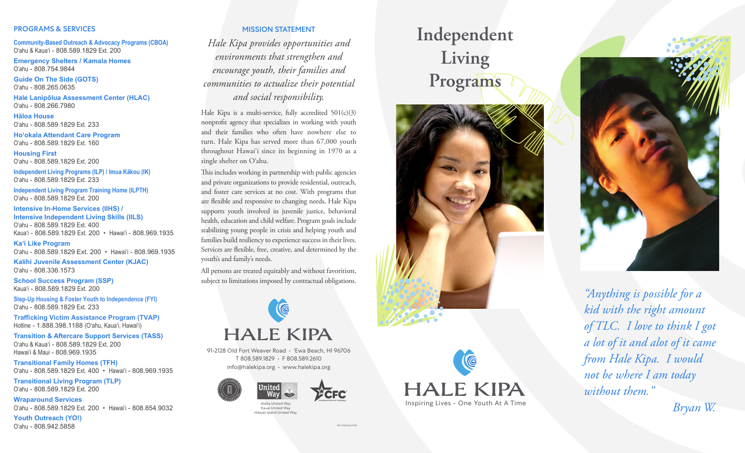#### PROGRAMS & SERVICES

**Community-Based Outreach & Advocacy Programs (CBOA)** O'ahu & Kaua'i - 808.589.1829 Ext. 200

**Emergency Shelters / Kamala Homes** O'ahu - 808.754.9844

**Guide On The Side (GOTS)** O'ahu - 808.265.0635

**Hale Lanipōlua Assessment Center (HLAC)** O'ahu - 808.266.7980

**Hāloa House** O'ahu - 808.589.1829 Ext. 233

**Ho'okala Attendant Care Program** O'ahu - 808.589.1829 Ext. 160

**Housing First** O'ahu - 808.589.1829 Ext. 200

**Independent Living Programs (ILP) / Imua Kākou (IK)** O'ahu - 808.589.1829 Ext. 233

**Independent Living Program Training Home (ILPTH)** O'ahu - 808.589.1829 Ext. 200

**Intensive In-Home Services (IIHS) / Intensive Independent Living Skills (IILS)** O'ahu - 808.589.1829 Ext. 400 Kaua'i - 808.589.1829 Ext. 200 • Hawai'i - 808.969.1935

**Ka'i Like Program** O'ahu - 808.589.1829 Ext. 200 • Hawai'i - 808.969.1935

**Kalihi Juvenile Assessment Center (KJAC)** O'ahu - 808.336.1573

**School Success Program (SSP)** Kaua'i - 808.589.1829 Ext. 200

**Step-Up Housing & Foster Youth to Independence (FYI)** O'ahu - 808.589.1829 Ext. 233

**Trafficking Victim Assistance Program (TVAP)** Hotline - 1.888.398.1188 (O'ahu, Kaua'i, Hawai'i)

**Transition & Aftercare Support Services (TASS)** O'ahu & Kaua'i - 808.589.1829 Ext. 200 Hawai'i & Maui - 808.969.1935

**Transitional Family Homes (TFH)** O'ahu - 808.589.1829 Ext. 400 • Hawai'i - 808.969.1935

**Transitional Living Program (TLP)** O'ahu - 808.589.1829 Ext. 200

**Wraparound Services** O'ahu - 808.589.1829 Ext. 200 • Hawai'i - 808.854.9032

**Youth Outreach (YO!)** O'ahu - 808.942.5858

## MISSION STATEMENT

*Hale Kipa provides opportunities and environments that strengthen and encourage youth, their families and communities to actualize their potential and social responsibility.*

Hale Kipa is a multi-service, fully accredited 501(c)(3) nonprofit agency that specializes in working with youth and their families who often have nowhere else to turn. Hale Kipa has served more than 67,000 youth throughout Hawai'i since its beginning in 1970 as a single shelter on O'ahu.

This includes working in partnership with public agencies and private organizations to provide residential, outreach, and foster care services at no cost. With programs that are flexible and responsive to changing needs, Hale Kipa supports youth involved in juvenile justice, behavioral health, education and child welfare. Program goals include stabilizing young people in crisis and helping youth and families build resiliency to experience success in their lives. Services are flexible, free, creative, and determined by the youth's and family's needs.

All persons are treated equitably and without favoritism, subject to limitations imposed by contractual obligations.

# K **HALE KIPA**

91-2128 Old Fort Weaver Road • 'Ewa Beach, HI 96706 T 808.589.1829 • F 808.589.2610 info@halekipa.org • www.halekipa.org



REV 20220524.0938

Aloha United Way Kauai United Way Hawaii Island United Way







*"Anything is possible for a kid with the right amount of TLC. I love to think I got a lot of it and alot of it came from Hale Kipa. I would not be where I am today without them."* 

*Bryan W.*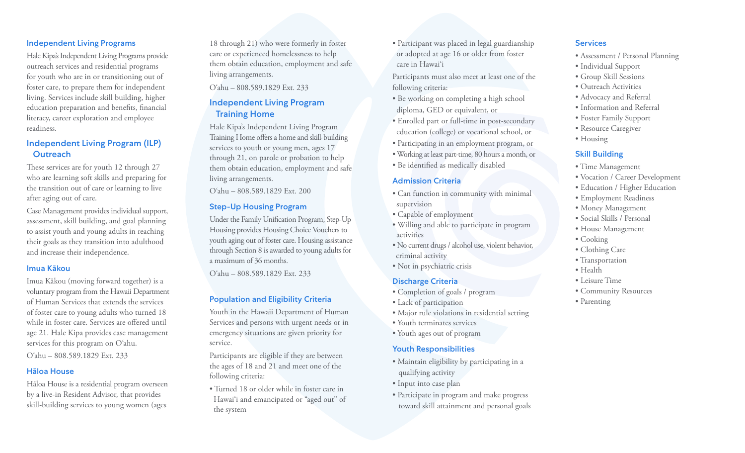#### Independent Living Programs

Hale Kipa's Independent Living Programs provide outreach services and residential programs for youth who are in or transitioning out of foster care, to prepare them for independent living. Services include skill building, higher education preparation and benefits, financial literacy, career exploration and employee readiness.

# Independent Living Program (ILP) **Outreach**

These services are for youth 12 through 27 who are learning soft skills and preparing for the transition out of care or learning to live after aging out of care.

Case Management provides individual support, assessment, skill building, and goal planning to assist youth and young adults in reaching their goals as they transition into adulthood and increase their independence.

#### Imua Kākou

Imua Kākou (moving forward together) is a voluntary program from the Hawaii Department of Human Services that extends the services of foster care to young adults who turned 18 while in foster care. Services are offered until age 21. Hale Kipa provides case management services for this program on O'ahu.

O'ahu – 808.589.1829 Ext. 233

#### Hāloa House

Hāloa House is a residential program overseen by a live-in Resident Advisor, that provides skill-building services to young women (ages

18 through 21) who were formerly in foster care or experienced homelessness to help them obtain education, employment and safe living arrangements.

O'ahu – 808.589.1829 Ext. 233

# Independent Living Program Training Home

Hale Kipa's Independent Living Program Training Home offers a home and skill-building services to youth or young men, ages 17 through 21, on parole or probation to help them obtain education, employment and safe living arrangements.

O'ahu – 808.589.1829 Ext. 200

## Step-Up Housing Program

Under the Family Unification Program, Step-Up Housing provides Housing Choice Vouchers to youth aging out of foster care. Housing assistance through Section 8 is awarded to young adults for a maximum of 36 months.

O'ahu – 808.589.1829 Ext. 233

#### Population and Eligibility Criteria

Youth in the Hawaii Department of Human Services and persons with urgent needs or in emergency situations are given priority for service.

Participants are eligible if they are between the ages of 18 and 21 and meet one of the following criteria:

• Turned 18 or older while in foster care in Hawai'i and emancipated or "aged out" of the system

• Participant was placed in legal guardianship or adopted at age 16 or older from foster care in Hawai'i

Participants must also meet at least one of the following criteria:

- Be working on completing a high school diploma, GED or equivalent, or
- Enrolled part or full-time in post-secondary education (college) or vocational school, or
- Participating in an employment program, or
- Working at least part-time, 80 hours a month, or
- Be identified as medically disabled

#### Admission Criteria

- Can function in community with minimal supervision
- Capable of employment
- Willing and able to participate in program activities
- No current drugs / alcohol use, violent behavior, criminal activity
- Not in psychiatric crisis

#### Discharge Criteria

- Completion of goals / program
- Lack of participation
- Major rule violations in residential setting
- Youth terminates services
- Youth ages out of program

#### Youth Responsibilities

- Maintain eligibility by participating in a qualifying activity
- Input into case plan
- Participate in program and make progress toward skill attainment and personal goals

## Services

- Assessment / Personal Planning
- Individual Support
- Group Skill Sessions
- Outreach Activities
- Advocacy and Referral
- Information and Referral
- Foster Family Support
- Resource Caregiver
- Housing

## Skill Building

- Time Management
- Vocation / Career Development
- Education / Higher Education
- Employment Readiness
- Money Management
- Social Skills / Personal
- House Management
- Cooking
- Clothing Care
- Transportation
- Health
- Leisure Time
- Community Resources
- Parenting